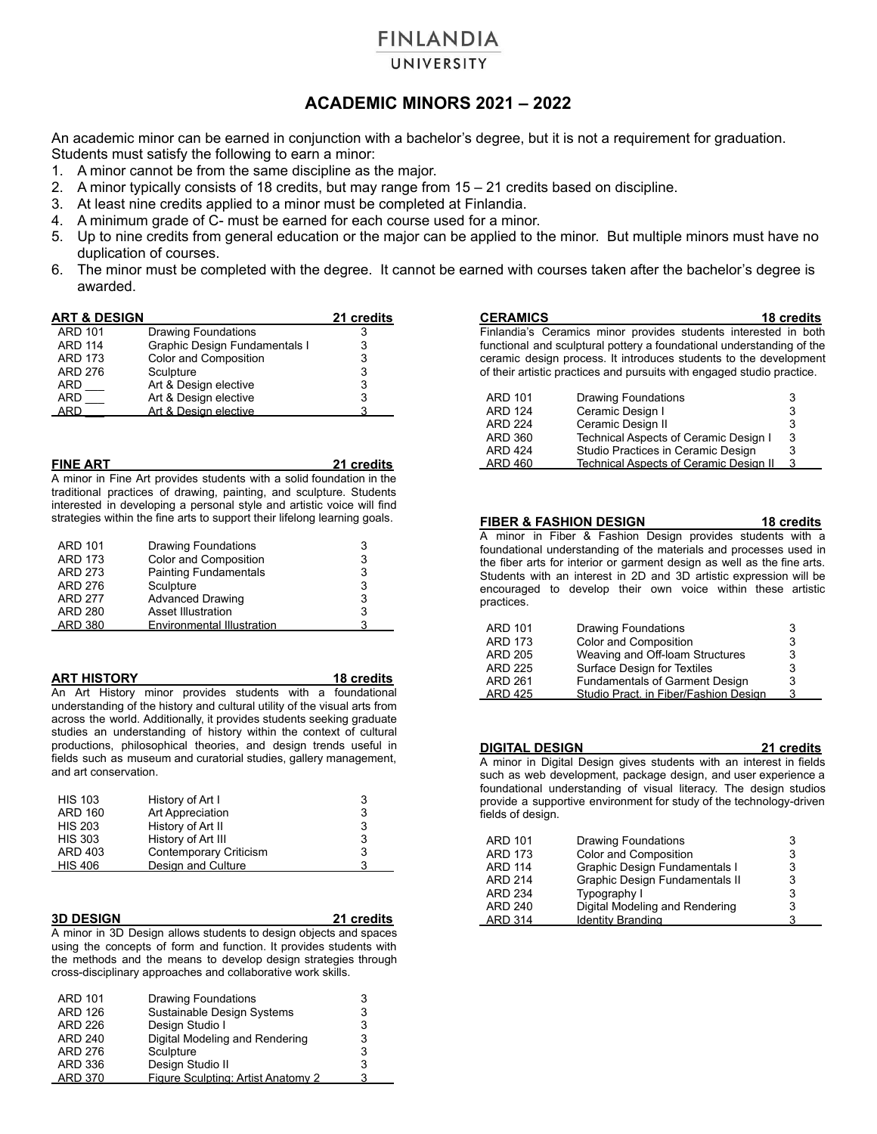# **FINLANDIA**

## UNIVERSITY

## **ACADEMIC MINORS 2021 – 2022**

An academic minor can be earned in conjunction with a bachelor's degree, but it is not a requirement for graduation. Students must satisfy the following to earn a minor:

- 1. A minor cannot be from the same discipline as the major.
- 2. A minor typically consists of 18 credits, but may range from 15 21 credits based on discipline.
- 3. At least nine credits applied to a minor must be completed at Finlandia.
- 4. A minimum grade of C- must be earned for each course used for a minor.
- 5. Up to nine credits from general education or the major can be applied to the minor. But multiple minors must have no duplication of courses.
- 6. The minor must be completed with the degree. It cannot be earned with courses taken after the bachelor's degree is awarded.

| <b>ART &amp; DESIGN</b> |                               | 21 credits |
|-------------------------|-------------------------------|------------|
| <b>ARD 101</b>          | <b>Drawing Foundations</b>    | 3          |
| <b>ARD 114</b>          | Graphic Design Fundamentals I | 3          |
| <b>ARD 173</b>          | Color and Composition         | 3          |
| <b>ARD 276</b>          | Sculpture                     | 3          |
| <b>ARD</b>              | Art & Design elective         | 3          |
| <b>ARD</b>              | Art & Design elective         | 3          |
| ARD                     | Art & Design elective         | ঽ          |

| <b>FINE ART</b>                                                           | 21 credits |
|---------------------------------------------------------------------------|------------|
| A minor in Fine Art provides students with a solid foundation in the      |            |
| traditional practices of drawing, painting, and sculpture. Students       |            |
| interested in developing a personal style and artistic voice will find    |            |
| strategies within the fine arts to support their lifelong learning goals. |            |

| <b>ARD 101</b> | <b>Drawing Foundations</b>   | 3 |
|----------------|------------------------------|---|
| <b>ARD 173</b> | Color and Composition        | 3 |
| <b>ARD 273</b> | <b>Painting Fundamentals</b> | 3 |
| <b>ARD 276</b> | Sculpture                    | 3 |
| <b>ARD 277</b> | <b>Advanced Drawing</b>      | 3 |
| <b>ARD 280</b> | Asset Illustration           | 3 |
| <b>ARD 380</b> | Environmental Illustration   | ર |
|                |                              |   |

**ART HISTORY 18 credits** An Art History minor provides students with a foundational understanding of the history and cultural utility of the visual arts from across the world. Additionally, it provides students seeking graduate studies an understanding of history within the context of cultural productions, philosophical theories, and design trends useful in fields such as museum and curatorial studies, gallery management, and art conservation.

| <b>HIS 103</b> | History of Art I       | 3 |
|----------------|------------------------|---|
| <b>ARD 160</b> | Art Appreciation       | 3 |
| <b>HIS 203</b> | History of Art II      | 3 |
| <b>HIS 303</b> | History of Art III     | 3 |
| ARD 403        | Contemporary Criticism | 3 |
| <b>HIS 406</b> | Design and Culture     | ີ |

#### **3D DESIGN 21 credits**

A minor in 3D Design allows students to design objects and spaces using the concepts of form and function. It provides students with the methods and the means to develop design strategies through cross-disciplinary approaches and collaborative work skills.

| <b>ARD 101</b> | Drawing Foundations                |   |
|----------------|------------------------------------|---|
| <b>ARD 126</b> | Sustainable Design Systems         |   |
| ARD 226        | Design Studio I                    | 3 |
| <b>ARD 240</b> | Digital Modeling and Rendering     |   |
| <b>ARD 276</b> | Sculpture                          | 3 |
| ARD 336        | Design Studio II                   | 3 |
| ARD 370        | Figure Sculpting: Artist Anatomy 2 |   |

| <b>CERAMICS</b>                                                        |                                                                       | 18 credits |  |  |
|------------------------------------------------------------------------|-----------------------------------------------------------------------|------------|--|--|
| Finlandia's Ceramics minor provides students interested in both        |                                                                       |            |  |  |
|                                                                        | functional and sculptural pottery a foundational understanding of the |            |  |  |
|                                                                        | ceramic design process. It introduces students to the development     |            |  |  |
| of their artistic practices and pursuits with engaged studio practice. |                                                                       |            |  |  |
|                                                                        |                                                                       |            |  |  |
| <b>ARD 101</b>                                                         | Drawing Foundations                                                   | 3          |  |  |
| <b>ARD 124</b>                                                         | Ceramic Design I                                                      | 3          |  |  |
| <b>ARD 224</b>                                                         | Ceramic Design II                                                     | 3          |  |  |
| ARD 360                                                                | Technical Aspects of Ceramic Design I                                 | 3          |  |  |
| <b>ARD 424</b>                                                         | Studio Practices in Ceramic Design                                    | 3          |  |  |

ARD 460 Technical Aspects of Ceramic Design II

|                | TIDEN & FASHION DESIGN                                                  | TO CIGAILS |
|----------------|-------------------------------------------------------------------------|------------|
|                | A minor in Fiber & Fashion Design provides students with a              |            |
|                | foundational understanding of the materials and processes used in       |            |
|                | the fiber arts for interior or garment design as well as the fine arts. |            |
|                | Students with an interest in 2D and 3D artistic expression will be      |            |
|                | encouraged to develop their own voice within these artistic             |            |
| practices.     |                                                                         |            |
|                |                                                                         |            |
| ARD 101        | Drawing Foundations                                                     | 3          |
| <b>ARD 173</b> | Color and Composition                                                   | 3          |
| <b>ARD 205</b> | Weaving and Off-Ioam Structures                                         | 3          |
| <b>ARD 225</b> | Surface Design for Textiles                                             | 3          |
| ARD 261        | <b>Fundamentals of Garment Design</b>                                   |            |

**FIBER & FASHION DESIGN 18 credits**

| ARD 425               |                                                                     | Studio Pract. in Fiber/Fashion Design |  |            |  |
|-----------------------|---------------------------------------------------------------------|---------------------------------------|--|------------|--|
|                       |                                                                     |                                       |  |            |  |
|                       |                                                                     |                                       |  |            |  |
|                       |                                                                     |                                       |  |            |  |
| <b>DIGITAL DESIGN</b> |                                                                     |                                       |  | 21 credits |  |
|                       | A minor in Digital Docian gives students with an interest in fields |                                       |  |            |  |

ARD 261 Fundamentals of Garment Design

A minor in Digital Design gives students with an interest in fields such as web development, package design, and user experience a foundational understanding of visual literacy. The design studios provide a supportive environment for study of the technology-driven fields of design.

| <b>ARD 101</b> | Drawing Foundations            | 3 |
|----------------|--------------------------------|---|
| <b>ARD 173</b> | Color and Composition          | 3 |
| <b>ARD 114</b> | Graphic Design Fundamentals I  | 3 |
| <b>ARD 214</b> | Graphic Design Fundamentals II | 3 |
| <b>ARD 234</b> | Typography I                   | 3 |
| <b>ARD 240</b> | Digital Modeling and Rendering | 3 |
| <b>ARD 314</b> | Identity Branding              | 3 |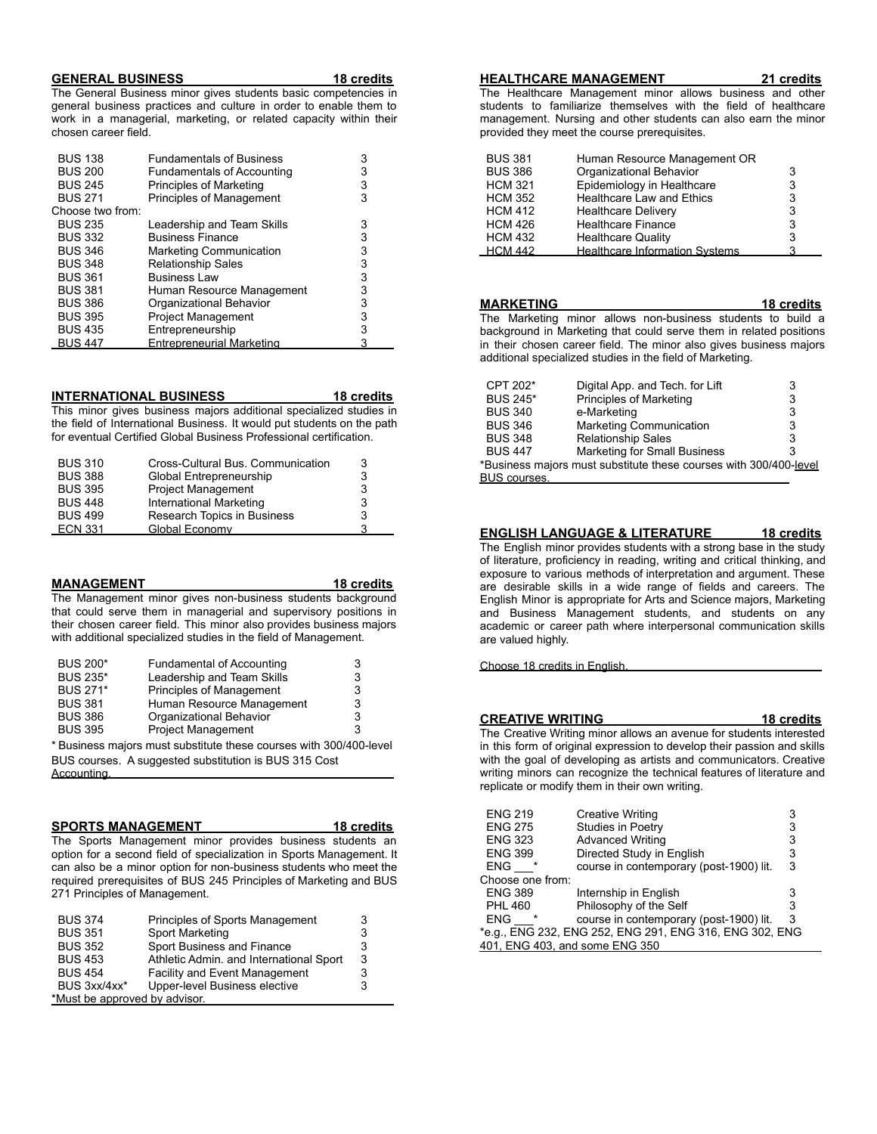### **GENERAL BUSINESS 18 credits**

The General Business minor gives students basic competencies in general business practices and culture in order to enable them to work in a managerial, marketing, or related capacity within their chosen career field.

| <b>BUS 138</b>   | <b>Fundamentals of Business</b>   | 3 |
|------------------|-----------------------------------|---|
| <b>BUS 200</b>   | <b>Fundamentals of Accounting</b> | 3 |
| <b>BUS 245</b>   | Principles of Marketing           | 3 |
| <b>BUS 271</b>   | <b>Principles of Management</b>   | 3 |
| Choose two from: |                                   |   |
| <b>BUS 235</b>   | Leadership and Team Skills        | 3 |
| <b>BUS 332</b>   | <b>Business Finance</b>           | 3 |
| <b>BUS 346</b>   | <b>Marketing Communication</b>    | 3 |
| <b>BUS 348</b>   | <b>Relationship Sales</b>         | 3 |
| <b>BUS 361</b>   | <b>Business Law</b>               | 3 |
| <b>BUS 381</b>   | Human Resource Management         | 3 |
| <b>BUS 386</b>   | Organizational Behavior           | 3 |
| <b>BUS 395</b>   | <b>Project Management</b>         | 3 |
| <b>BUS 435</b>   | Entrepreneurship                  | 3 |
| <b>BUS 447</b>   | <b>Entrepreneurial Marketing</b>  | 3 |

**INTERNATIONAL BUSINESS 18 credits** This minor gives business majors additional specialized studies in the field of International Business. It would put students on the path for eventual Certified Global Business Professional certification.

| <b>BUS 310</b> | Cross-Cultural Bus. Communication | 3 |
|----------------|-----------------------------------|---|
| <b>BUS 388</b> | Global Entrepreneurship           | 3 |
| <b>BUS 395</b> | <b>Project Management</b>         | 3 |
| <b>BUS 448</b> | <b>International Marketing</b>    | 3 |
| <b>BUS 499</b> | Research Topics in Business       | 3 |
| <b>ECN 331</b> | Global Economy                    |   |

### **MANAGEMENT 18 credits**

The Management minor gives non-business students background that could serve them in managerial and supervisory positions in their chosen career field. This minor also provides business majors with additional specialized studies in the field of Management.

| <b>BUS 200*</b> | <b>Fundamental of Accounting</b>                                   | 3 |
|-----------------|--------------------------------------------------------------------|---|
| <b>BUS 235*</b> | Leadership and Team Skills                                         | 3 |
| <b>BUS 271*</b> | <b>Principles of Management</b>                                    | 3 |
| <b>BUS 381</b>  | Human Resource Management                                          | 3 |
| <b>BUS 386</b>  | Organizational Behavior                                            | 3 |
| <b>BUS 395</b>  | <b>Project Management</b>                                          |   |
|                 | * Business majors must substitute these courses with 300/400-level |   |
|                 |                                                                    |   |

BUS courses. A suggested substitution is BUS 315 Cost Accounting.

### **SPORTS MANAGEMENT 18 credits**

The Sports Management minor provides business students an option for a second field of specialization in Sports Management. It can also be a minor option for non-business students who meet the required prerequisites of BUS 245 Principles of Marketing and BUS 271 Principles of Management.

| <b>BUS 374</b>                | Principles of Sports Management         |   |
|-------------------------------|-----------------------------------------|---|
| <b>BUS 351</b>                | Sport Marketing                         | 3 |
| <b>BUS 352</b>                | Sport Business and Finance              | 3 |
| <b>BUS 453</b>                | Athletic Admin. and International Sport | 3 |
| <b>BUS 454</b>                | <b>Facility and Event Management</b>    | 3 |
| BUS 3xx/4xx*                  | Upper-level Business elective           | 3 |
| *Must be approved by advisor. |                                         |   |

#### **HEALTHCARE MANAGEMENT 21 credits**

The Healthcare Management minor allows business and other students to familiarize themselves with the field of healthcare management. Nursing and other students can also earn the minor provided they meet the course prerequisites.

| <b>BUS 381</b> | Human Resource Management OR          |   |
|----------------|---------------------------------------|---|
| <b>BUS 386</b> | Organizational Behavior               | 3 |
| <b>HCM 321</b> | Epidemiology in Healthcare            | 3 |
| <b>HCM 352</b> | <b>Healthcare Law and Ethics</b>      | 3 |
| <b>HCM 412</b> | <b>Healthcare Delivery</b>            | 3 |
| <b>HCM 426</b> | <b>Healthcare Finance</b>             | 3 |
| <b>HCM 432</b> | <b>Healthcare Quality</b>             | 3 |
| <b>HCM 442</b> | <b>Healthcare Information Systems</b> | ঽ |

| <b>MARKETING</b>    |                                                                    | 18 credits |  |
|---------------------|--------------------------------------------------------------------|------------|--|
|                     | The Marketing minor allows non-business students to build a        |            |  |
|                     | background in Marketing that could serve them in related positions |            |  |
|                     | in their chosen career field. The minor also gives business majors |            |  |
|                     | additional specialized studies in the field of Marketing.          |            |  |
|                     |                                                                    |            |  |
| CPT 202*            | Digital App. and Tech. for Lift                                    | 3          |  |
| <b>BUS 245*</b>     | Principles of Marketing                                            | 3          |  |
| <b>BUS 340</b>      | e-Marketing                                                        | 3          |  |
| <b>BUS 346</b>      | <b>Marketing Communication</b>                                     | 3          |  |
| <b>BUS 348</b>      | <b>Relationship Sales</b>                                          | 3          |  |
| <b>BUS 447</b>      | <b>Marketing for Small Business</b>                                | 3          |  |
|                     | *Business majors must substitute these courses with 300/400-level  |            |  |
| <b>BUS courses.</b> |                                                                    |            |  |

### **ENGLISH LANGUAGE & LITERATURE 18 credits**

The English minor provides students with a strong base in the study of literature, proficiency in reading, writing and critical thinking, and exposure to various methods of interpretation and argument. These are desirable skills in a wide range of fields and careers. The English Minor is appropriate for Arts and Science majors, Marketing and Business Management students, and students on any academic or career path where interpersonal communication skills are valued highly.

Choose 18 credits in English.

#### **CREATIVE WRITING 18 credits**

The Creative Writing minor allows an avenue for students interested in this form of original expression to develop their passion and skills with the goal of developing as artists and communicators. Creative writing minors can recognize the technical features of literature and replicate or modify them in their own writing.

| <b>ENG 219</b>                 | <b>Creative Writing</b>                                 | 3 |
|--------------------------------|---------------------------------------------------------|---|
| <b>ENG 275</b>                 | Studies in Poetry                                       | 3 |
| <b>ENG 323</b>                 | <b>Advanced Writing</b>                                 | 3 |
| <b>ENG 399</b>                 | Directed Study in English                               | 3 |
| <b>ENG</b>                     | course in contemporary (post-1900) lit.                 | 3 |
| Choose one from:               |                                                         |   |
| <b>ENG 389</b>                 | Internship in English                                   | 3 |
| <b>PHL 460</b>                 | Philosophy of the Self                                  | 3 |
| <b>ENG</b><br>$\star$          | course in contemporary (post-1900) lit.                 | 3 |
|                                | *e.g., ENG 232, ENG 252, ENG 291, ENG 316, ENG 302, ENG |   |
| 401, ENG 403, and some ENG 350 |                                                         |   |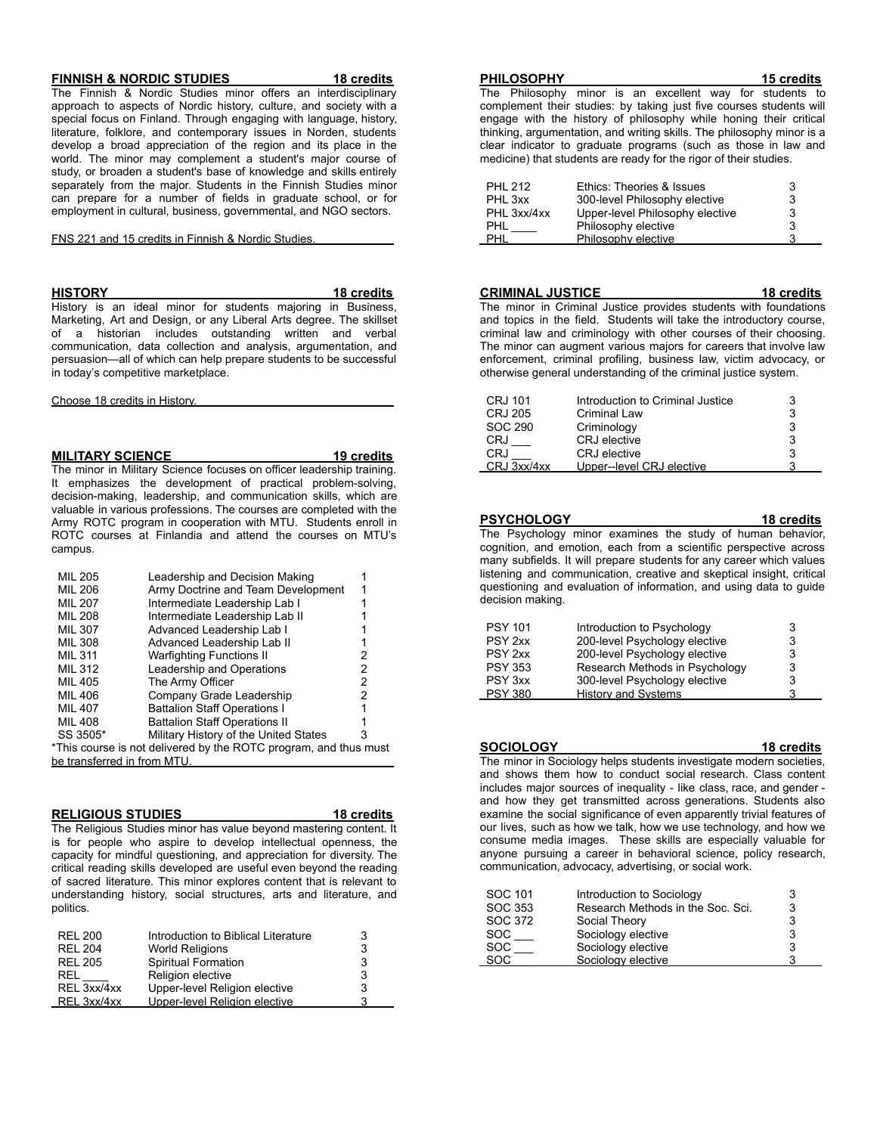#### **FINNISH & NORDIC STUDIES 18 credits**

The Finnish & Nordic Studies minor offers an interdisciplinary approach to aspects of Nordic history, culture, and society with a special focus on Finland. Through engaging with language, history, literature, folklore, and contemporary issues in Norden, students develop a broad appreciation of the region and its place in the world. The minor may complement a student's major course of study, or broaden a student's base of knowledge and skills entirely separately from the major. Students in the Finnish Studies minor can prepare for a number of fields in graduate school, or for employment in cultural, business, governmental, and NGO sectors.

FNS 221 and 15 credits in Finnish & Nordic Studies.

**HISTORY 18 credits**

History is an ideal minor for students majoring in Business, Marketing, Art and Design, or any Liberal Arts degree. The skillset of a historian includes outstanding written and verbal communication, data collection and analysis, argumentation, and persuasion—all of which can help prepare students to be successful in today's competitive marketplace.

Choose 18 credits in History.

#### **MILITARY SCIENCE 19 credits**

The minor in Military Science focuses on officer leadership training. It emphasizes the development of practical problem-solving, decision-making, leadership, and communication skills, which are valuable in various professions. The courses are completed with the Army ROTC program in cooperation with MTU. Students enroll in ROTC courses at Finlandia and attend the courses on MTU's campus.

| <b>MIL 205</b>              | Leadership and Decision Making                                   |   |
|-----------------------------|------------------------------------------------------------------|---|
| <b>MIL 206</b>              | Army Doctrine and Team Development                               |   |
| <b>MIL 207</b>              | Intermediate Leadership Lab I                                    |   |
| <b>MIL 208</b>              | Intermediate Leadership Lab II                                   |   |
| <b>MIL 307</b>              | Advanced Leadership Lab I                                        |   |
| MIL 308                     | Advanced Leadership Lab II                                       |   |
| <b>MIL 311</b>              | <b>Warfighting Functions II</b>                                  | 2 |
| <b>MIL 312</b>              | Leadership and Operations                                        | 2 |
| <b>MIL 405</b>              | The Army Officer                                                 | 2 |
| <b>MIL 406</b>              | Company Grade Leadership                                         | 2 |
| <b>MIL 407</b>              | <b>Battalion Staff Operations I</b>                              |   |
| MIL 408                     | <b>Battalion Staff Operations II</b>                             |   |
| SS 3505*                    | Military History of the United States                            | 3 |
|                             | *This course is not delivered by the ROTC program, and thus must |   |
| be transferred in from MTU. |                                                                  |   |

#### **RELIGIOUS STUDIES 18 credits**

The Religious Studies minor has value beyond mastering content. It is for people who aspire to develop intellectual openness, the capacity for mindful questioning, and appreciation for diversity. The critical reading skills developed are useful even beyond the reading of sacred literature. This minor explores content that is relevant to understanding history, social structures, arts and literature, and politics.

| <b>REL 200</b> | Introduction to Biblical Literature | 3 |
|----------------|-------------------------------------|---|
| <b>REL 204</b> | <b>World Religions</b>              | 3 |
| <b>REL 205</b> | Spiritual Formation                 | 3 |
| REL            | Religion elective                   | 3 |
| REL 3xx/4xx    | Upper-level Religion elective       | 3 |
| REL 3xx/4xx    | Upper-level Religion elective       |   |

#### **PHILOSOPHY 15 credits**

The Philosophy minor is an excellent way for students to complement their studies: by taking just five courses students will engage with the history of philosophy while honing their critical thinking, argumentation, and writing skills. The philosophy minor is a clear indicator to graduate programs (such as those in law and medicine) that students are ready for the rigor of their studies.

| PHI 212     | Ethics: Theories & Issues       | 3 |
|-------------|---------------------------------|---|
| PHL 3xx     | 300-level Philosophy elective   | 3 |
| PHL 3xx/4xx | Upper-level Philosophy elective | 3 |
| PHL         | Philosophy elective             | 3 |
| PHL         | Philosophy elective             |   |

**CRIMINAL JUSTICE 18 credits** The minor in Criminal Justice provides students with foundations and topics in the field. Students will take the introductory course, criminal law and criminology with other courses of their choosing. The minor can augment various majors for careers that involve law enforcement, criminal profiling, business law, victim advocacy, or otherwise general understanding of the criminal justice system.

| CRJ 101     | Introduction to Criminal Justice |  |
|-------------|----------------------------------|--|
| CRJ 205     | <b>Criminal Law</b>              |  |
| SOC 290     | Criminology                      |  |
| CRJ         | CRJ elective                     |  |
| CRJ         | CRJ elective                     |  |
| CRJ 3xx/4xx | Upper--level CRJ elective        |  |

**PSYCHOLOGY 18 credits** The Psychology minor examines the study of human behavior, cognition, and emotion, each from a scientific perspective across many subfields. It will prepare students for any career which values listening and communication, creative and skeptical insight, critical questioning and evaluation of information, and using data to guide decision making.

| <b>PSY 101</b>     | Introduction to Psychology     | 3 |
|--------------------|--------------------------------|---|
| PSY <sub>2xx</sub> | 200-level Psychology elective  | 3 |
| PSY <sub>2xx</sub> | 200-level Psychology elective  | 3 |
| <b>PSY 353</b>     | Research Methods in Psychology | 3 |
| PSY 3xx            | 300-level Psychology elective  | 3 |
| <b>PSY 380</b>     | <b>History and Systems</b>     | з |

**SOCIOLOGY 18 credits**

The minor in Sociology helps students investigate modern societies, and shows them how to conduct social research. Class content includes major sources of inequality - like class, race, and gender and how they get transmitted across generations. Students also examine the social significance of even apparently trivial features of our lives, such as how we talk, how we use technology, and how we consume media images. These skills are especially valuable for anyone pursuing a career in behavioral science, policy research, communication, advocacy, advertising, or social work.

| SOC 101    | Introduction to Sociology         |   |
|------------|-----------------------------------|---|
| SOC 353    | Research Methods in the Soc. Sci. | 3 |
| SOC 372    | Social Theory                     | 3 |
| <b>SOC</b> | Sociology elective                |   |
| <b>SOC</b> | Sociology elective                | 3 |
| <b>SOC</b> | Sociology elective                |   |